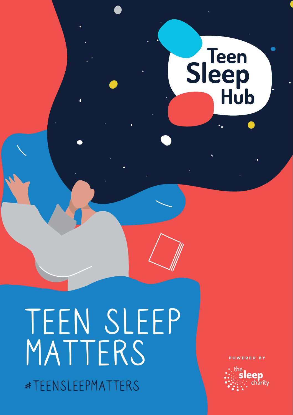

# TEEN SLEEP MATTERS #TEENSLEEPMATTERS

**OWERED BY** 

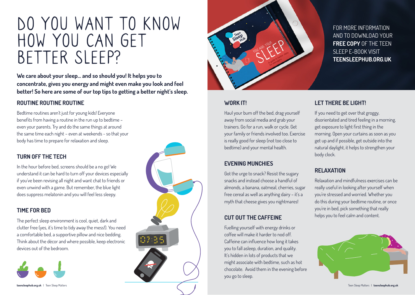# DO YOU WANT TO KNOW HOW YOU CAN GET BETTER SLEEP?

**We care about your sleep... and so should you! It helps you to concentrate, gives you energy and might even make you look and feel better! So here are some of our top tips to getting a better night's sleep.**

#### **ROUTINE ROUTINE ROUTINE**

Bedtime routines aren't just for young kids! Everyone benefits from having a routine in the run up to bedtime – even your parents. Try and do the same things at around the same time each night – even at weekends - so that your body has time to prepare for relaxation and sleep.

#### **TURN OFF THE TECH**

In the hour before bed, screens should be a no go! We understand it can be hard to turn off your devices especially if you've been revising all night and want chat to friends or even unwind with a game. But remember, the blue light does suppress melatonin and you will feel less sleepy.

#### **TIME FOR BED**

The perfect sleep environment is cool, quiet, dark and clutter free (yes, it's time to tidy away the mess!). You need a comfortable bed, a supportive pillow and nice bedding. Think about the décor and where possible, keep electronic devices out of the bedroom.







#### **WORK IT!**

Haul your bum off the bed, drag yourself away from social media and grab your trainers. Go for a run, walk or cycle. Get your family or friends involved too. Exercise is really good for sleep (not too close to bedtime) and your mental health.

## **EVENING MUNCHIES**

Got the urge to snack? Resist the sugary snacks and instead choose a handful of almonds, a banana, oatmeal, cherries, sugar free cereal as well as anything dairy – it's a myth that cheese gives you nightmares!

## **CUT OUT THE CAFFEINE**

Fuelling yourself with energy drinks or coffee will make it harder to nod off. Caffeine can influence how long it takes you to fall asleep, duration, and quality. It's hidden in lots of products that we might associate with bedtime, such as hot chocolate. Avoid them in the evening before you go to sleep.

FOR MORE INFORMATION AND TO DOWNLOAD YOUR **FREE COPY** OF THE TEEN SLEEP E-BOOK VISIT **TEENSLEEPHUB.ORG.UK**

#### **LET THERE BE LIGHT!**

If you need to get over that groggy, disorientated and tired feeling in a morning, get exposure to light first thing in the morning. Open your curtains as soon as you get up and if possible, get outside into the natural daylight, it helps to strengthen your body clock.

#### **RELAXATION**

Relaxation and mindfulness exercises can be really useful in looking after yourself when you're stressed and worried. Whether you do this during your bedtime routine, or once you're in bed, pick something that really helps you to feel calm and content.